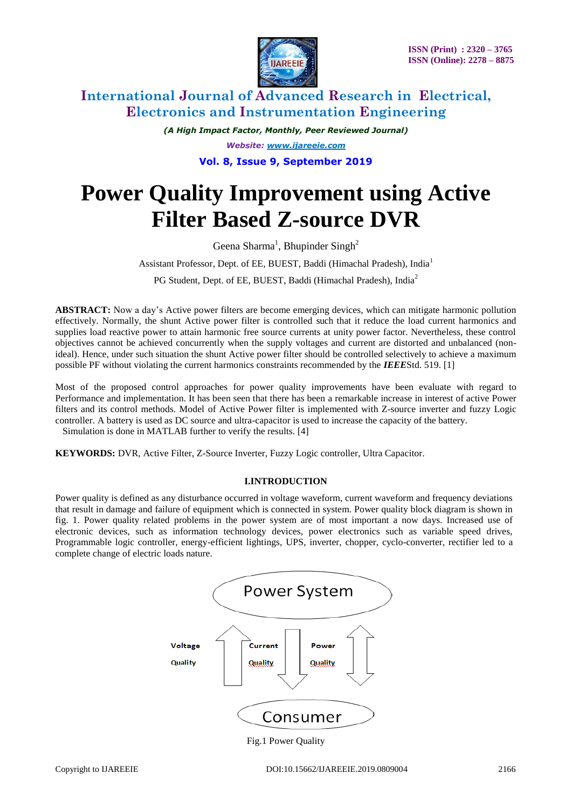

*(A High Impact Factor, Monthly, Peer Reviewed Journal)*

*Website: [www.ijareeie.com](http://www.ijareeie.com/)*

**Vol. 8, Issue 9, September 2019**

# **Power Quality Improvement using Active Filter Based Z-source DVR**

Geena Sharma<sup>1</sup>, Bhupinder Singh<sup>2</sup>

Assistant Professor, Dept. of EE, BUEST, Baddi (Himachal Pradesh), India<sup>1</sup>

PG Student, Dept. of EE, BUEST, Baddi (Himachal Pradesh), India<sup>2</sup>

**ABSTRACT:** Now a day's Active power filters are become emerging devices, which can mitigate harmonic pollution effectively. Normally, the shunt Active power filter is controlled such that it reduce the load current harmonics and supplies load reactive power to attain harmonic free source currents at unity power factor. Nevertheless, these control objectives cannot be achieved concurrently when the supply voltages and current are distorted and unbalanced (nonideal). Hence, under such situation the shunt Active power filter should be controlled selectively to achieve a maximum possible PF without violating the current harmonics constraints recommended by the *IEEE*Std. 519. [1]

Most of the proposed control approaches for power quality improvements have been evaluate with regard to Performance and implementation. It has been seen that there has been a remarkable increase in interest of active Power filters and its control methods. Model of Active Power filter is implemented with Z-source inverter and fuzzy Logic controller. A battery is used as DC source and ultra-capacitor is used to increase the capacity of the battery.

Simulation is done in MATLAB further to verify the results. [4]

**KEYWORDS:** DVR, Active Filter, Z-Source Inverter, Fuzzy Logic controller, Ultra Capacitor.

### **I.INTRODUCTION**

Power quality is defined as any disturbance occurred in voltage waveform, current waveform and frequency deviations that result in damage and failure of equipment which is connected in system. Power quality block diagram is shown in fig. 1. Power quality related problems in the power system are of most important a now days. Increased use of electronic devices, such as information technology devices, power electronics such as variable speed drives, Programmable logic controller, energy-efficient lightings, UPS, inverter, chopper, cyclo-converter, rectifier led to a complete change of electric loads nature.

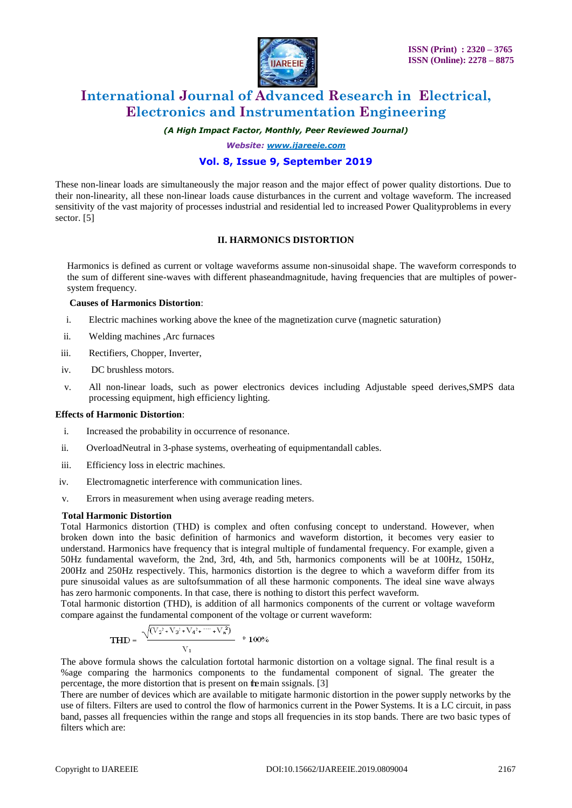

*(A High Impact Factor, Monthly, Peer Reviewed Journal)*

*Website: [www.ijareeie.com](http://www.ijareeie.com/)*

### **Vol. 8, Issue 9, September 2019**

These non-linear loads are simultaneously the major reason and the major effect of power quality distortions. Due to their non-linearity, all these non-linear loads cause disturbances in the current and voltage waveform. The increased sensitivity of the vast majority of processes industrial and residential led to increased Power Qualityproblems in every sector. [5]

### **II. HARMONICS DISTORTION**

Harmonics is defined as current or voltage waveforms assume non-sinusoidal shape. The waveform corresponds to the sum of different sine-waves with different phaseandmagnitude, having frequencies that are multiples of powersystem frequency.

### **Causes of Harmonics Distortion**:

- i. Electric machines working above the knee of the magnetization curve (magnetic saturation)
- ii. Welding machines ,Arc furnaces
- iii. Rectifiers, Chopper, Inverter,
- iv. DC brushless motors.
- v. All non-linear loads, such as power electronics devices including Adjustable speed derives,SMPS data processing equipment, high efficiency lighting.

### **Effects of Harmonic Distortion**:

- i. Increased the probability in occurrence of resonance.
- ii. OverloadNeutral in 3-phase systems, overheating of equipmentandall cables.
- iii. Efficiency loss in electric machines.
- iv. Electromagnetic interference with communication lines.
- v. Errors in measurement when using average reading meters.

#### **Total Harmonic Distortion**

Total Harmonics distortion (THD) is complex and often confusing concept to understand. However, when broken down into the basic definition of harmonics and waveform distortion, it becomes very easier to understand. Harmonics have frequency that is integral multiple of fundamental frequency. For example, given a 50Hz fundamental waveform, the 2nd, 3rd, 4th, and 5th, harmonics components will be at 100Hz, 150Hz, 200Hz and 250Hz respectively. This, harmonics distortion is the degree to which a waveform differ from its pure sinusoidal values as are sultofsummation of all these harmonic components. The ideal sine wave always has zero harmonic components. In that case, there is nothing to distort this perfect waveform.

Total harmonic distortion (THD), is addition of all harmonics components of the current or voltage waveform compare against the fundamental component of the voltage or current waveform:

$$
THD = \frac{\sqrt{(V_2^2 + V_3^2 + V_4^2 + \cdots + V_n^2)}}{V_1} \quad *100\%
$$

The above formula shows the calculation fortotal harmonic distortion on a voltage signal. The final result is a %age comparing the harmonics components to the fundamental component of signal. The greater the percentage, the more distortion that is present on themain ssignals. [3]

There are number of devices which are available to mitigate harmonic distortion in the power supply networks by the use of filters. Filters are used to control the flow of harmonics current in the Power Systems. It is a LC circuit, in pass band, passes all frequencies within the range and stops all frequencies in its stop bands. There are two basic types of filters which are: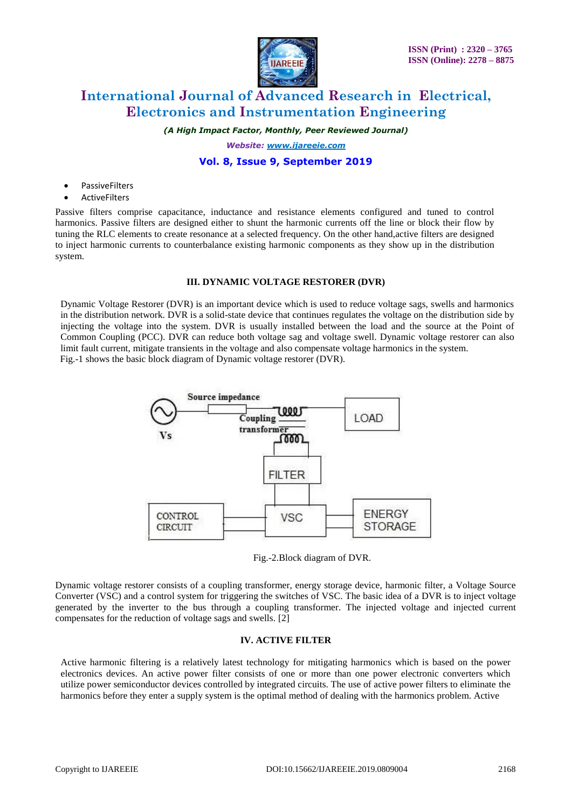

*(A High Impact Factor, Monthly, Peer Reviewed Journal)*

*Website: [www.ijareeie.com](http://www.ijareeie.com/)*

### **Vol. 8, Issue 9, September 2019**

- PassiveFilters
- **ActiveFilters**

Passive filters comprise capacitance, inductance and resistance elements configured and tuned to control harmonics. Passive filters are designed either to shunt the harmonic currents off the line or block their flow by tuning the RLC elements to create resonance at a selected frequency. On the other hand,active filters are designed to inject harmonic currents to counterbalance existing harmonic components as they show up in the distribution system.

### **III. DYNAMIC VOLTAGE RESTORER (DVR)**

Dynamic Voltage Restorer (DVR) is an important device which is used to reduce voltage sags, swells and harmonics in the distribution network. DVR is a solid-state device that continues regulates the voltage on the distribution side by injecting the voltage into the system. DVR is usually installed between the load and the source at the Point of Common Coupling (PCC). DVR can reduce both voltage sag and voltage swell. Dynamic voltage restorer can also limit fault current, mitigate transients in the voltage and also compensate voltage harmonics in the system. Fig.-1 shows the basic block diagram of Dynamic voltage restorer (DVR).



Fig.-2.Block diagram of DVR.

Dynamic voltage restorer consists of a coupling transformer, energy storage device, harmonic filter, a Voltage Source Converter (VSC) and a control system for triggering the switches of VSC. The basic idea of a DVR is to inject voltage generated by the inverter to the bus through a coupling transformer. The injected voltage and injected current compensates for the reduction of voltage sags and swells. [2]

### **IV. ACTIVE FILTER**

Active harmonic filtering is a relatively latest technology for mitigating harmonics which is based on the power electronics devices. An active power filter consists of one or more than one power electronic converters which utilize power semiconductor devices controlled by integrated circuits. The use of active power filters to eliminate the harmonics before they enter a supply system is the optimal method of dealing with the harmonics problem. Active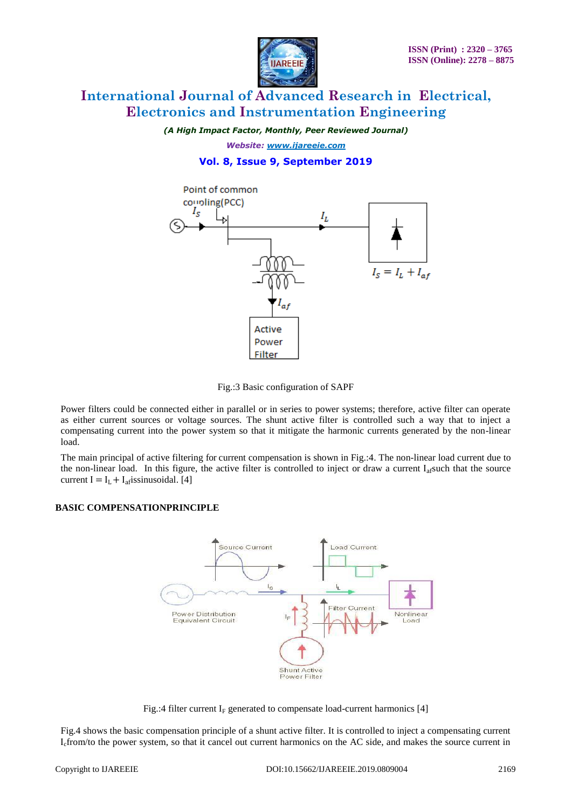

*(A High Impact Factor, Monthly, Peer Reviewed Journal)*

*Website: [www.ijareeie.com](http://www.ijareeie.com/)*

# **Vol. 8, Issue 9, September 2019**



Fig.:3 Basic configuration of SAPF

Power filters could be connected either in parallel or in series to power systems; therefore, active filter can operate as either current sources or voltage sources. The shunt active filter is controlled such a way that to inject a compensating current into the power system so that it mitigate the harmonic currents generated by the non-linear load.

The main principal of active filtering for current compensation is shown in Fig.:4. The non-linear load current due to the non-linear load. In this figure, the active filter is controlled to inject or draw a current  $I_{\text{a}}$  fsuch that the source current I =  $I_L$  +  $I_{\text{a}f}$  issinusoidal. [4]

### **BASIC COMPENSATIONPRINCIPLE**



Fig.:4 filter current  $I_F$  generated to compensate load-current harmonics [4]

Fig.4 shows the basic compensation principle of a shunt active filter. It is controlled to inject a compensating current Icfrom/to the power system, so that it cancel out current harmonics on the AC side, and makes the source current in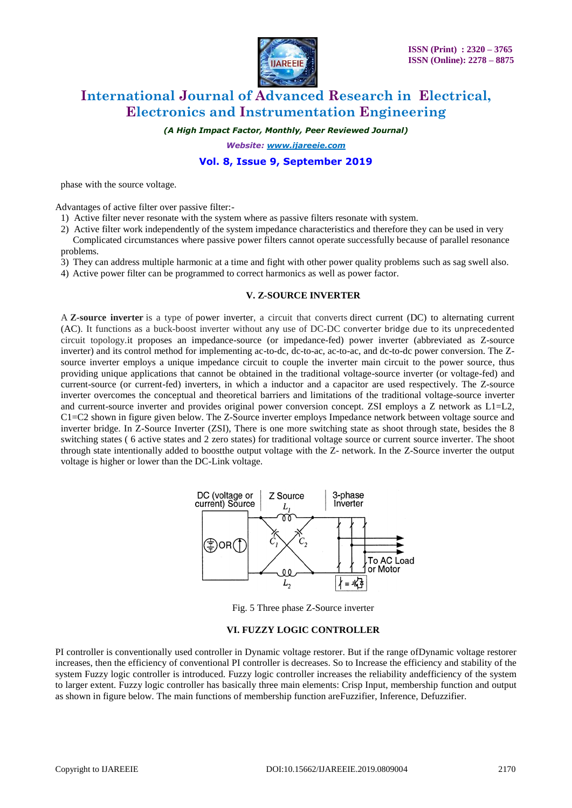

*(A High Impact Factor, Monthly, Peer Reviewed Journal)*

*Website: [www.ijareeie.com](http://www.ijareeie.com/)*

### **Vol. 8, Issue 9, September 2019**

phase with the source voltage.

Advantages of active filter over passive filter:-

- 1) Active filter never resonate with the system where as passive filters resonate with system.
- 2) Active filter work independently of the system impedance characteristics and therefore they can be used in very Complicated circumstances where passive power filters cannot operate successfully because of parallel resonance
- problems.
- 3) They can address multiple harmonic at a time and fight with other power quality problems such as sag swell also.
- 4) Active power filter can be programmed to correct harmonics as well as power factor.

#### **V. Z-SOURCE INVERTER**

A **Z-source inverter** is a type of power inverter, a circuit that converts direct current (DC) to alternating current (AC). It functions as a buck-boost inverter without any use of DC-DC converter bridge due to its unprecedented circuit topology.it proposes an impedance-source (or impedance-fed) power inverter (abbreviated as Z-source inverter) and its control method for implementing ac-to-dc, dc-to-ac, ac-to-ac, and dc-to-dc power conversion. The Zsource inverter employs a unique impedance circuit to couple the inverter main circuit to the power source, thus providing unique applications that cannot be obtained in the traditional voltage-source inverter (or voltage-fed) and current-source (or current-fed) inverters, in which a inductor and a capacitor are used respectively. The Z-source inverter overcomes the conceptual and theoretical barriers and limitations of the traditional voltage-source inverter and current-source inverter and provides original power conversion concept. ZSI employs a Z network as L1=L2, C1=C2 shown in figure given below. The Z-Source inverter employs Impedance network between voltage source and inverter bridge. In Z-Source Inverter (ZSI), There is one more switching state as shoot through state, besides the 8 switching states ( 6 active states and 2 zero states) for traditional voltage source or current source inverter. The shoot through state intentionally added to boostthe output voltage with the Z- network. In the Z-Source inverter the output voltage is higher or lower than the DC-Link voltage.



Fig. 5 Three phase Z-Source inverter

### **VI. FUZZY LOGIC CONTROLLER**

PI controller is conventionally used controller in Dynamic voltage restorer. But if the range ofDynamic voltage restorer increases, then the efficiency of conventional PI controller is decreases. So to Increase the efficiency and stability of the system Fuzzy logic controller is introduced. Fuzzy logic controller increases the reliability andefficiency of the system to larger extent. Fuzzy logic controller has basically three main elements: Crisp Input, membership function and output as shown in figure below. The main functions of membership function areFuzzifier, Inference, Defuzzifier.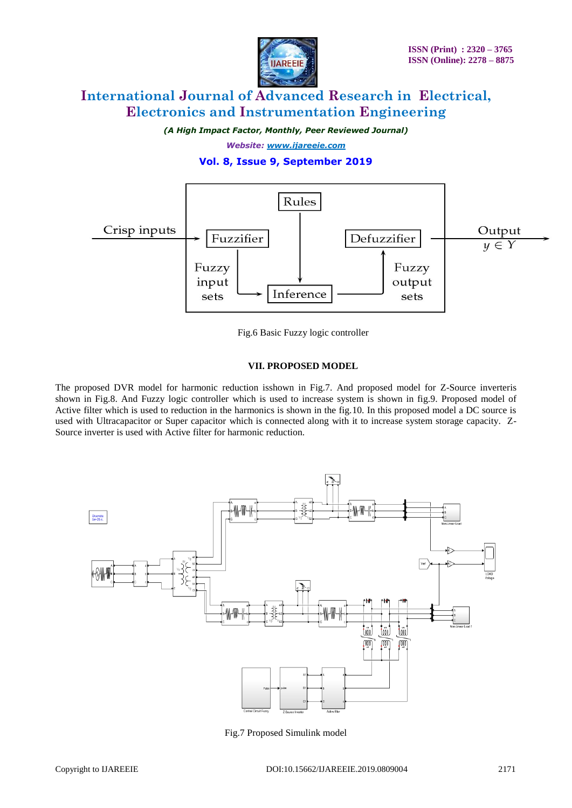

*(A High Impact Factor, Monthly, Peer Reviewed Journal)*

*Website: [www.ijareeie.com](http://www.ijareeie.com/)*

# **Vol. 8, Issue 9, September 2019**



Fig.6 Basic Fuzzy logic controller

### **VII. PROPOSED MODEL**

The proposed DVR model for harmonic reduction isshown in Fig.7. And proposed model for Z-Source inverteris shown in Fig.8. And Fuzzy logic controller which is used to increase system is shown in fig.9. Proposed model of Active filter which is used to reduction in the harmonics is shown in the fig.10. In this proposed model a DC source is used with Ultracapacitor or Super capacitor which is connected along with it to increase system storage capacity. Z-Source inverter is used with Active filter for harmonic reduction.



Fig.7 Proposed Simulink model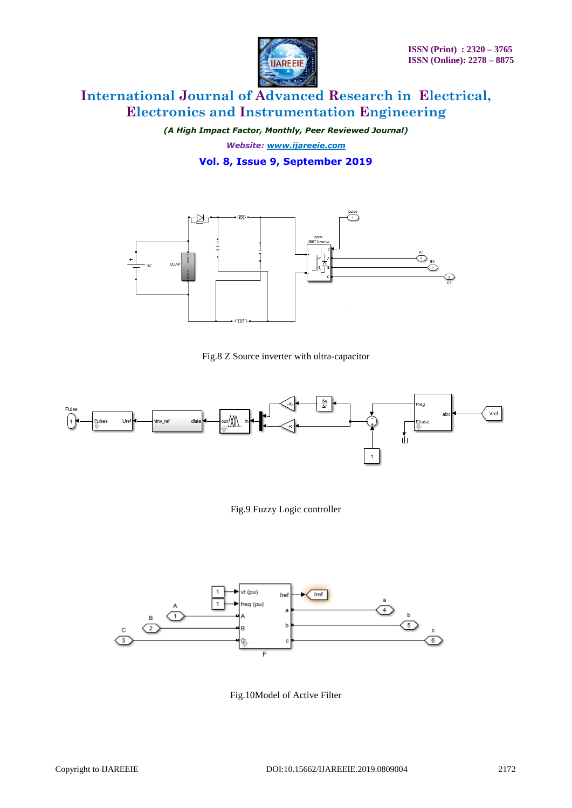

*(A High Impact Factor, Monthly, Peer Reviewed Journal)*

*Website: [www.ijareeie.com](http://www.ijareeie.com/)*

**Vol. 8, Issue 9, September 2019**



Fig.8 Z Source inverter with ultra-capacitor





Fig.10Model of Active Filter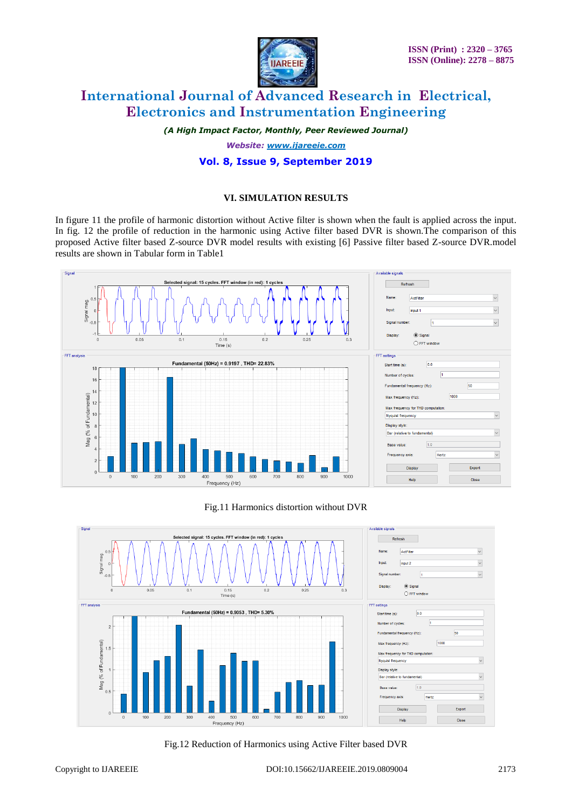

*(A High Impact Factor, Monthly, Peer Reviewed Journal)*

*Website: [www.ijareeie.com](http://www.ijareeie.com/)*

# **Vol. 8, Issue 9, September 2019**

### **VI. SIMULATION RESULTS**

In figure 11 the profile of harmonic distortion without Active filter is shown when the fault is applied across the input. In fig. 12 the profile of reduction in the harmonic using Active filter based DVR is shown.The comparison of this proposed Active filter based Z-source DVR model results with existing [6] Passive filter based Z-source DVR.model results are shown in Tabular form in Table1



Fig.11 Harmonics distortion without DVR



Fig.12 Reduction of Harmonics using Active Filter based DVR